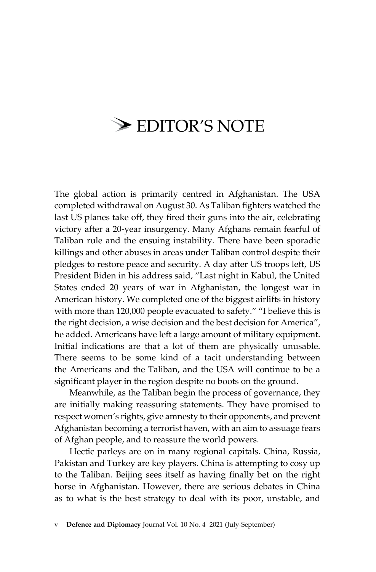## $\triangleright$  EDITOR'S NOTE

The global action is primarily centred in Afghanistan. The USA completed withdrawal on August 30. As Taliban fighters watched the last US planes take off, they fired their guns into the air, celebrating victory after a 20-year insurgency. Many Afghans remain fearful of Taliban rule and the ensuing instability. There have been sporadic killings and other abuses in areas under Taliban control despite their pledges to restore peace and security. A day after US troops left, US President Biden in his address said, "Last night in Kabul, the United States ended 20 years of war in Afghanistan, the longest war in American history. We completed one of the biggest airlifts in history with more than 120,000 people evacuated to safety." "I believe this is the right decision, a wise decision and the best decision for America", he added. Americans have left a large amount of military equipment. Initial indications are that a lot of them are physically unusable. There seems to be some kind of a tacit understanding between the Americans and the Taliban, and the USA will continue to be a significant player in the region despite no boots on the ground.

Meanwhile, as the Taliban begin the process of governance, they are initially making reassuring statements. They have promised to respect women's rights, give amnesty to their opponents, and prevent Afghanistan becoming a terrorist haven, with an aim to assuage fears of Afghan people, and to reassure the world powers.

Hectic parleys are on in many regional capitals. China, Russia, Pakistan and Turkey are key players. China is attempting to cosy up to the Taliban. Beijing sees itself as having finally bet on the right horse in Afghanistan. However, there are serious debates in China as to what is the best strategy to deal with its poor, unstable, and

v **Defence and Diplomacy** Journal Vol. 10 No. 4 2021 (July-September)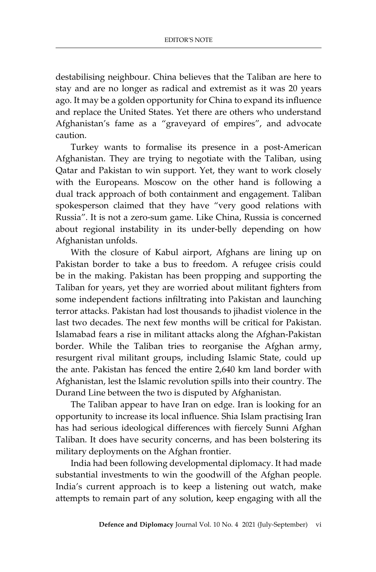destabilising neighbour. China believes that the Taliban are here to stay and are no longer as radical and extremist as it was 20 years ago. It may be a golden opportunity for China to expand its influence and replace the United States. Yet there are others who understand Afghanistan's fame as a "graveyard of empires", and advocate caution.

Turkey wants to formalise its presence in a post-American Afghanistan. They are trying to negotiate with the Taliban, using Qatar and Pakistan to win support. Yet, they want to work closely with the Europeans. Moscow on the other hand is following a dual track approach of both containment and engagement. Taliban spokesperson claimed that they have "very good relations with Russia". It is not a zero-sum game. Like China, Russia is concerned about regional instability in its under-belly depending on how Afghanistan unfolds.

With the closure of Kabul airport, Afghans are lining up on Pakistan border to take a bus to freedom. A refugee crisis could be in the making. Pakistan has been propping and supporting the Taliban for years, yet they are worried about militant fighters from some independent factions infiltrating into Pakistan and launching terror attacks. Pakistan had lost thousands to jihadist violence in the last two decades. The next few months will be critical for Pakistan. Islamabad fears a rise in militant attacks along the Afghan-Pakistan border. While the Taliban tries to reorganise the Afghan army, resurgent rival militant groups, including Islamic State, could up the ante. Pakistan has fenced the entire 2,640 km land border with Afghanistan, lest the Islamic revolution spills into their country. The Durand Line between the two is disputed by Afghanistan.

The Taliban appear to have Iran on edge. Iran is looking for an opportunity to increase its local influence. Shia Islam practising Iran has had serious ideological differences with fiercely Sunni Afghan Taliban. It does have security concerns, and has been bolstering its military deployments on the Afghan frontier.

India had been following developmental diplomacy. It had made substantial investments to win the goodwill of the Afghan people. India's current approach is to keep a listening out watch, make attempts to remain part of any solution, keep engaging with all the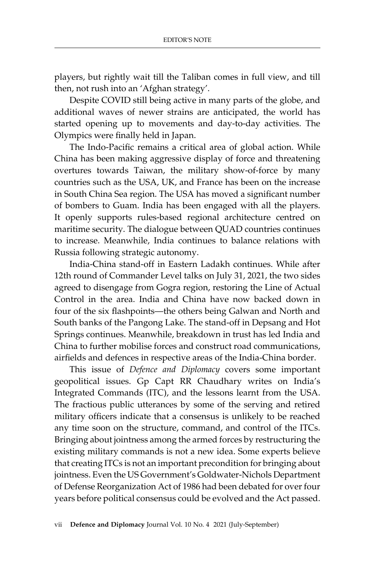players, but rightly wait till the Taliban comes in full view, and till then, not rush into an 'Afghan strategy'.

Despite COVID still being active in many parts of the globe, and additional waves of newer strains are anticipated, the world has started opening up to movements and day-to-day activities. The Olympics were finally held in Japan.

The Indo-Pacific remains a critical area of global action. While China has been making aggressive display of force and threatening overtures towards Taiwan, the military show-of-force by many countries such as the USA, UK, and France has been on the increase in South China Sea region. The USA has moved a significant number of bombers to Guam. India has been engaged with all the players. It openly supports rules-based regional architecture centred on maritime security. The dialogue between QUAD countries continues to increase. Meanwhile, India continues to balance relations with Russia following strategic autonomy.

India-China stand-off in Eastern Ladakh continues. While after 12th round of Commander Level talks on July 31, 2021, the two sides agreed to disengage from Gogra region, restoring the Line of Actual Control in the area. India and China have now backed down in four of the six flashpoints—the others being Galwan and North and South banks of the Pangong Lake. The stand-off in Depsang and Hot Springs continues. Meanwhile, breakdown in trust has led India and China to further mobilise forces and construct road communications, airfields and defences in respective areas of the India-China border.

This issue of *Defence and Diplomacy* covers some important geopolitical issues. Gp Capt RR Chaudhary writes on India's Integrated Commands (ITC), and the lessons learnt from the USA. The fractious public utterances by some of the serving and retired military officers indicate that a consensus is unlikely to be reached any time soon on the structure, command, and control of the ITCs. Bringing about jointness among the armed forces by restructuring the existing military commands is not a new idea. Some experts believe that creating ITCs is not an important precondition for bringing about jointness. Even the US Government's Goldwater-Nichols Department of Defense Reorganization Act of 1986 had been debated for over four years before political consensus could be evolved and the Act passed.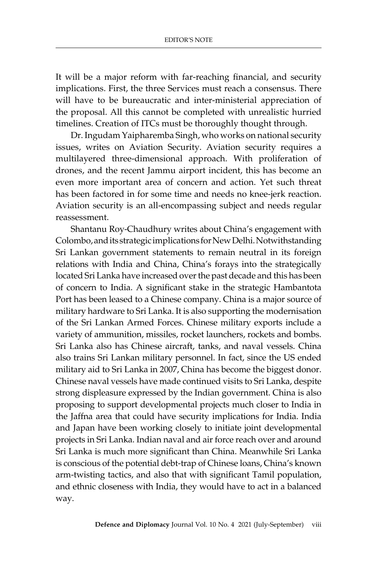It will be a major reform with far-reaching financial, and security implications. First, the three Services must reach a consensus. There will have to be bureaucratic and inter-ministerial appreciation of the proposal. All this cannot be completed with unrealistic hurried timelines. Creation of ITCs must be thoroughly thought through.

Dr. Ingudam Yaipharemba Singh, who works on national security issues, writes on Aviation Security. Aviation security requires a multilayered three-dimensional approach. With proliferation of drones, and the recent Jammu airport incident, this has become an even more important area of concern and action. Yet such threat has been factored in for some time and needs no knee-jerk reaction. Aviation security is an all-encompassing subject and needs regular reassessment.

Shantanu Roy-Chaudhury writes about China's engagement with Colombo, and its strategic implications for New Delhi. Notwithstanding Sri Lankan government statements to remain neutral in its foreign relations with India and China, China's forays into the strategically located Sri Lanka have increased over the past decade and this has been of concern to India. A significant stake in the strategic Hambantota Port has been leased to a Chinese company. China is a major source of military hardware to Sri Lanka. It is also supporting the modernisation of the Sri Lankan Armed Forces. Chinese military exports include a variety of ammunition, missiles, rocket launchers, rockets and bombs. Sri Lanka also has Chinese aircraft, tanks, and naval vessels. China also trains Sri Lankan military personnel. In fact, since the US ended military aid to Sri Lanka in 2007, China has become the biggest donor. Chinese naval vessels have made continued visits to Sri Lanka, despite strong displeasure expressed by the Indian government. China is also proposing to support developmental projects much closer to India in the Jaffna area that could have security implications for India. India and Japan have been working closely to initiate joint developmental projects in Sri Lanka. Indian naval and air force reach over and around Sri Lanka is much more significant than China. Meanwhile Sri Lanka is conscious of the potential debt-trap of Chinese loans, China's known arm-twisting tactics, and also that with significant Tamil population, and ethnic closeness with India, they would have to act in a balanced way.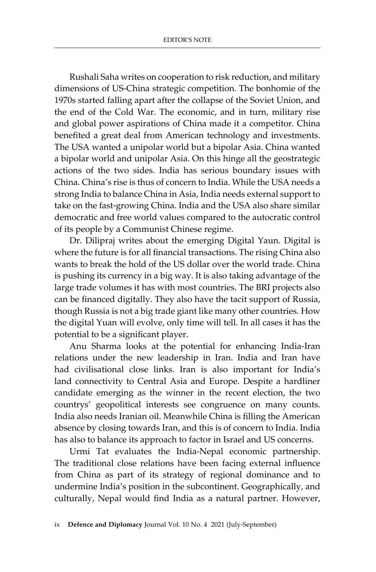Rushali Saha writes on cooperation to risk reduction, and military dimensions of US-China strategic competition. The bonhomie of the 1970s started falling apart after the collapse of the Soviet Union, and the end of the Cold War. The economic, and in turn, military rise and global power aspirations of China made it a competitor. China benefited a great deal from American technology and investments. The USA wanted a unipolar world but a bipolar Asia. China wanted a bipolar world and unipolar Asia. On this hinge all the geostrategic actions of the two sides. India has serious boundary issues with China. China's rise is thus of concern to India. While the USA needs a strong India to balance China in Asia, India needs external support to take on the fast-growing China. India and the USA also share similar democratic and free world values compared to the autocratic control of its people by a Communist Chinese regime.

Dr. Dilipraj writes about the emerging Digital Yaun. Digital is where the future is for all financial transactions. The rising China also wants to break the hold of the US dollar over the world trade. China is pushing its currency in a big way. It is also taking advantage of the large trade volumes it has with most countries. The BRI projects also can be financed digitally. They also have the tacit support of Russia, though Russia is not a big trade giant like many other countries. How the digital Yuan will evolve, only time will tell. In all cases it has the potential to be a significant player.

Anu Sharma looks at the potential for enhancing India-Iran relations under the new leadership in Iran. India and Iran have had civilisational close links. Iran is also important for India's land connectivity to Central Asia and Europe. Despite a hardliner candidate emerging as the winner in the recent election, the two countrys' geopolitical interests see congruence on many counts. India also needs Iranian oil. Meanwhile China is filling the American absence by closing towards Iran, and this is of concern to India. India has also to balance its approach to factor in Israel and US concerns.

Urmi Tat evaluates the India-Nepal economic partnership. The traditional close relations have been facing external influence from China as part of its strategy of regional dominance and to undermine India's position in the subcontinent. Geographically, and culturally, Nepal would find India as a natural partner. However,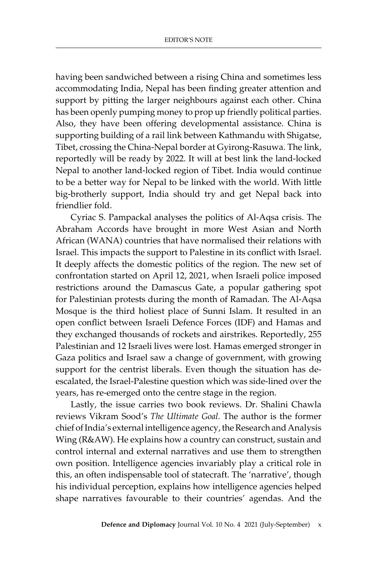having been sandwiched between a rising China and sometimes less accommodating India, Nepal has been finding greater attention and support by pitting the larger neighbours against each other. China has been openly pumping money to prop up friendly political parties. Also, they have been offering developmental assistance. China is supporting building of a rail link between Kathmandu with Shigatse, Tibet, crossing the China-Nepal border at Gyirong-Rasuwa. The link, reportedly will be ready by 2022. It will at best link the land-locked Nepal to another land-locked region of Tibet. India would continue to be a better way for Nepal to be linked with the world. With little big-brotherly support, India should try and get Nepal back into friendlier fold.

Cyriac S. Pampackal analyses the politics of Al-Aqsa crisis. The Abraham Accords have brought in more West Asian and North African (WANA) countries that have normalised their relations with Israel. This impacts the support to Palestine in its conflict with Israel. It deeply affects the domestic politics of the region. The new set of confrontation started on April 12, 2021, when Israeli police imposed restrictions around the Damascus Gate, a popular gathering spot for Palestinian protests during the month of Ramadan. The Al-Aqsa Mosque is the third holiest place of Sunni Islam. It resulted in an open conflict between Israeli Defence Forces (IDF) and Hamas and they exchanged thousands of rockets and airstrikes. Reportedly, 255 Palestinian and 12 Israeli lives were lost. Hamas emerged stronger in Gaza politics and Israel saw a change of government, with growing support for the centrist liberals. Even though the situation has deescalated, the Israel-Palestine question which was side-lined over the years, has re-emerged onto the centre stage in the region.

Lastly, the issue carries two book reviews. Dr. Shalini Chawla reviews Vikram Sood's *The Ultimate Goal.* The author is the former chief of India's external intelligence agency, the Research and Analysis Wing (R&AW). He explains how a country can construct, sustain and control internal and external narratives and use them to strengthen own position. Intelligence agencies invariably play a critical role in this, an often indispensable tool of statecraft. The 'narrative', though his individual perception, explains how intelligence agencies helped shape narratives favourable to their countries' agendas. And the